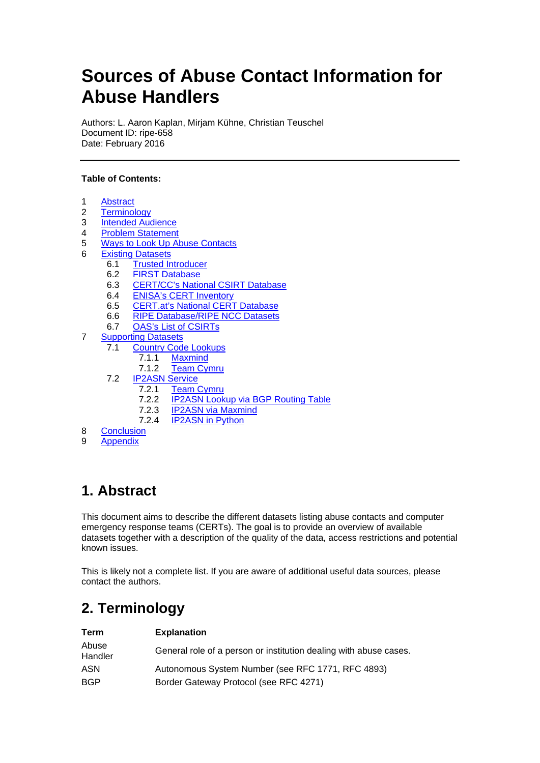# **Sources of Abuse Contact Information for Abuse Handlers**

Authors: L. Aaron Kaplan, Mirjam Kühne, Christian Teuschel Document ID: ripe-658 Date: February 2016

#### **Table of Contents:**

- 1 [Abstract](#page-0-0)
- 2 [Terminology](#page-0-1)<br>3 Intended Aud
- 3 [Intended Audience](#page-1-0)<br>4 Problem Statement
- **[Problem Statement](#page-1-1)**
- 5 [Ways to Look Up Abuse Contacts](#page-2-0)
- 6 [Existing Datasets](#page-4-0)<br>6.1 Trusted In
	- **[Trusted Introducer](#page-4-1)**
	- 6.2 [FIRST Database](#page-6-0)<br>6.3 CERT/CC's Natio
	- **[CERT/CC's National CSIRT Database](#page-8-0)**
	- 6.4 [ENISA's CERT Inventory](#page-10-0)
	- 6.5 [CERT.at's National CERT Database](#page-11-0)<br>6.6 RIPE Database/RIPE NCC Datasets
	- [RIPE Database/RIPE NCC Datasets](#page-12-0)
	- 6.7 OAS's [List of CSIRTs](#page-14-0)
- 7 [Supporting Datasets](#page-15-0)
	- 7.1 [Country Code Lookups](#page-15-1)
		- 7.1.1 [Maxmind](#page-15-2)
		- 7.1.2 [Team Cymru](#page-16-0)
	- 7.2 [IP2ASN Service](#page-16-1)
		- 7.2.1 [Team Cymru](#page-17-0)
		- 7.2.2 [IP2ASN Lookup via BGP Routing Table](#page-17-1)<br>7.2.3 IP2ASN via Maxmind
		- 7.2.3 [IP2ASN via Maxmind](#page-17-2)<br>7.2.4 IP2ASN in Python
		- **[IP2ASN in Python](#page-17-3)**
- 8 [Conclusion](#page-17-4)<br>9 Appendix
- **[Appendix](#page-18-0)**

## <span id="page-0-0"></span>**1. Abstract**

This document aims to describe the different datasets listing abuse contacts and computer emergency response teams (CERTs). The goal is to provide an overview of available datasets together with a description of the quality of the data, access restrictions and potential known issues.

This is likely not a complete list. If you are aware of additional useful data sources, please contact the authors.

## <span id="page-0-1"></span>**2. Terminology**

| <b>Term</b>      | <b>Explanation</b>                                                |
|------------------|-------------------------------------------------------------------|
| Abuse<br>Handler | General role of a person or institution dealing with abuse cases. |
| ASN              | Autonomous System Number (see RFC 1771, RFC 4893)                 |
| <b>BGP</b>       | Border Gateway Protocol (see RFC 4271)                            |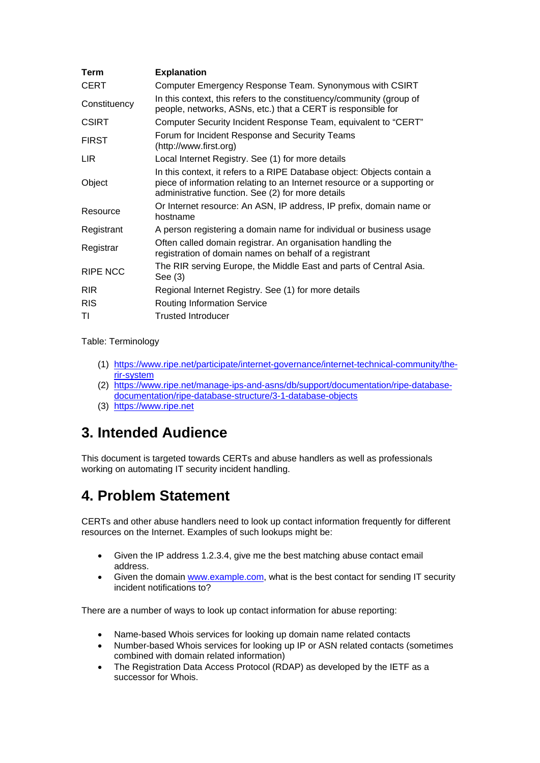| <b>Explanation</b>                                                                                                                                                                                       |  |  |  |  |
|----------------------------------------------------------------------------------------------------------------------------------------------------------------------------------------------------------|--|--|--|--|
| Computer Emergency Response Team. Synonymous with CSIRT                                                                                                                                                  |  |  |  |  |
| In this context, this refers to the constituency/community (group of<br>people, networks, ASNs, etc.) that a CERT is responsible for                                                                     |  |  |  |  |
| Computer Security Incident Response Team, equivalent to "CERT"                                                                                                                                           |  |  |  |  |
| Forum for Incident Response and Security Teams<br>(http://www.first.org)                                                                                                                                 |  |  |  |  |
| Local Internet Registry. See (1) for more details                                                                                                                                                        |  |  |  |  |
| In this context, it refers to a RIPE Database object: Objects contain a<br>piece of information relating to an Internet resource or a supporting or<br>administrative function. See (2) for more details |  |  |  |  |
| Or Internet resource: An ASN, IP address, IP prefix, domain name or<br>hostname                                                                                                                          |  |  |  |  |
| A person registering a domain name for individual or business usage                                                                                                                                      |  |  |  |  |
| Often called domain registrar. An organisation handling the<br>registration of domain names on behalf of a registrant                                                                                    |  |  |  |  |
| The RIR serving Europe, the Middle East and parts of Central Asia.<br>See $(3)$                                                                                                                          |  |  |  |  |
| Regional Internet Registry. See (1) for more details                                                                                                                                                     |  |  |  |  |
| <b>Routing Information Service</b>                                                                                                                                                                       |  |  |  |  |
| <b>Trusted Introducer</b>                                                                                                                                                                                |  |  |  |  |
|                                                                                                                                                                                                          |  |  |  |  |

Table: Terminology

- (1) [https://www.ripe.net/participate/internet-governance/internet-technical-community/the](https://www.ripe.net/participate/internet-governance/internet-technical-community/the-rir-system)[rir-system](https://www.ripe.net/participate/internet-governance/internet-technical-community/the-rir-system)
- (2) [https://www.ripe.net/manage-ips-and-asns/db/support/documentation/ripe-database](https://www.ripe.net/manage-ips-and-asns/db/support/documentation/ripe-database-documentation/ripe-database-structure/3-1-database-objects)[documentation/ripe-database-structure/3-1-database-objects](https://www.ripe.net/manage-ips-and-asns/db/support/documentation/ripe-database-documentation/ripe-database-structure/3-1-database-objects)
- (3) [https://www.ripe.net](https://www.ripe.net/)

## <span id="page-1-0"></span>**3. Intended Audience**

This document is targeted towards CERTs and abuse handlers as well as professionals working on automating IT security incident handling.

## <span id="page-1-1"></span>**4. Problem Statement**

CERTs and other abuse handlers need to look up contact information frequently for different resources on the Internet. Examples of such lookups might be:

- Given the IP address 1.2.3.4, give me the best matching abuse contact email address.
- Given the domain [www.example.com,](http://www.example.com/) what is the best contact for sending IT security incident notifications to?

There are a number of ways to look up contact information for abuse reporting:

- Name-based Whois services for looking up domain name related contacts
- Number-based Whois services for looking up IP or ASN related contacts (sometimes combined with domain related information)
- The Registration Data Access Protocol (RDAP) as developed by the IETF as a successor for Whois.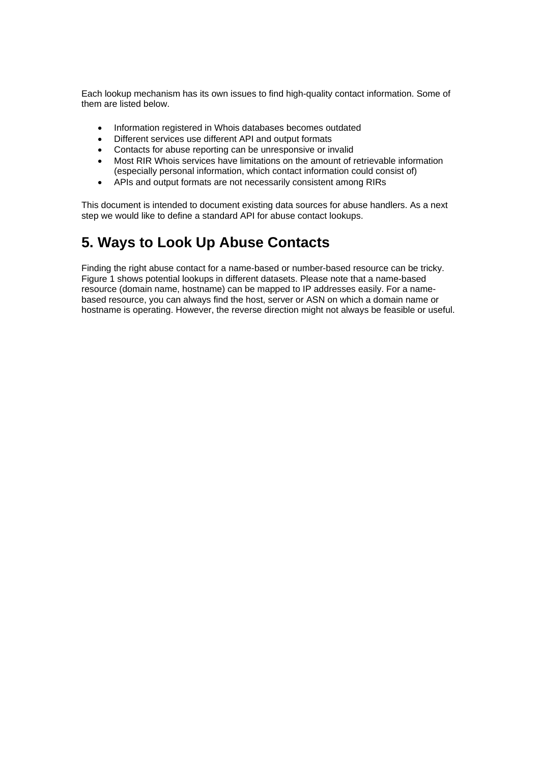Each lookup mechanism has its own issues to find high-quality contact information. Some of them are listed below.

- Information registered in Whois databases becomes outdated
- Different services use different API and output formats
- Contacts for abuse reporting can be unresponsive or invalid
- Most RIR Whois services have limitations on the amount of retrievable information (especially personal information, which contact information could consist of)
- APIs and output formats are not necessarily consistent among RIRs

This document is intended to document existing data sources for abuse handlers. As a next step we would like to define a standard API for abuse contact lookups.

## <span id="page-2-0"></span>**5. Ways to Look Up Abuse Contacts**

Finding the right abuse contact for a name-based or number-based resource can be tricky. Figure 1 shows potential lookups in different datasets. Please note that a name-based resource (domain name, hostname) can be mapped to IP addresses easily. For a namebased resource, you can always find the host, server or ASN on which a domain name or hostname is operating. However, the reverse direction might not always be feasible or useful.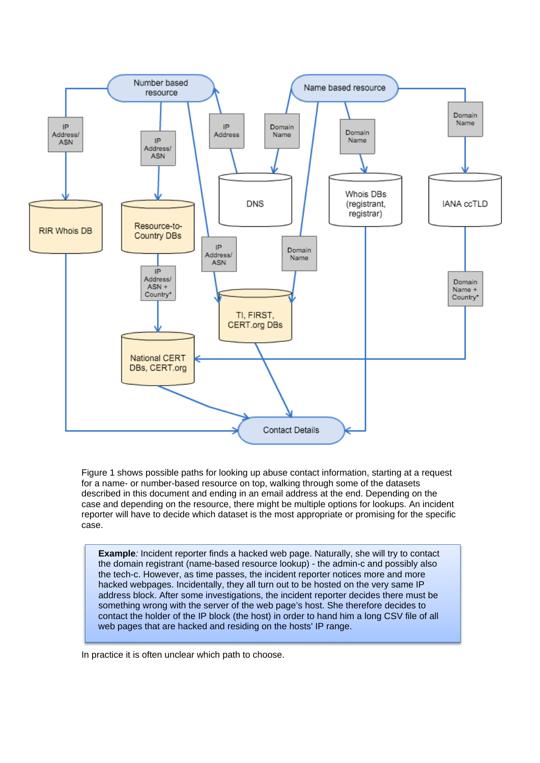

Figure 1 shows possible paths for looking up abuse contact information, starting at a request for a name- or number-based resource on top, walking through some of the datasets described in this document and ending in an email address at the end. Depending on the case and depending on the resource, there might be multiple options for lookups. An incident reporter will have to decide which dataset is the most appropriate or promising for the specific case.

**Example***:* Incident reporter finds a hacked web page. Naturally, she will try to contact the domain registrant (name-based resource lookup) - the admin-c and possibly also the tech-c. However, as time passes, the incident reporter notices more and more hacked webpages. Incidentally, they all turn out to be hosted on the very same IP address block. After some investigations, the incident reporter decides there must be something wrong with the server of the web page's host. She therefore decides to contact the holder of the IP block (the host) in order to hand him a long CSV file of all web pages that are hacked and residing on the hosts' IP range.

In practice it is often unclear which path to choose.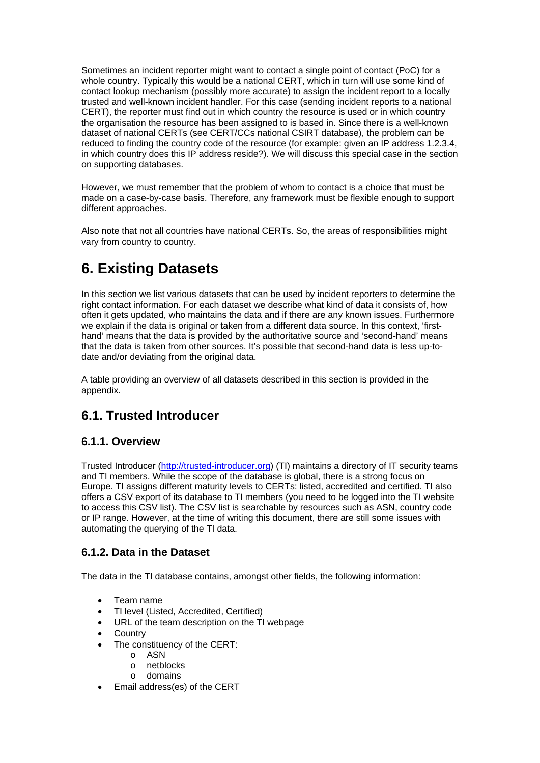Sometimes an incident reporter might want to contact a single point of contact (PoC) for a whole country. Typically this would be a national CERT, which in turn will use some kind of contact lookup mechanism (possibly more accurate) to assign the incident report to a locally trusted and well-known incident handler. For this case (sending incident reports to a national CERT), the reporter must find out in which country the resource is used or in which country the organisation the resource has been assigned to is based in. Since there is a well-known dataset of national CERTs (see CERT/CCs national CSIRT database), the problem can be reduced to finding the country code of the resource (for example: given an IP address 1.2.3.4, in which country does this IP address reside?). We will discuss this special case in the section on supporting databases.

However, we must remember that the problem of whom to contact is a choice that must be made on a case-by-case basis. Therefore, any framework must be flexible enough to support different approaches.

Also note that not all countries have national CERTs. So, the areas of responsibilities might vary from country to country.

## <span id="page-4-0"></span>**6. Existing Datasets**

In this section we list various datasets that can be used by incident reporters to determine the right contact information. For each dataset we describe what kind of data it consists of, how often it gets updated, who maintains the data and if there are any known issues. Furthermore we explain if the data is original or taken from a different data source. In this context, 'firsthand' means that the data is provided by the authoritative source and 'second-hand' means that the data is taken from other sources. It's possible that second-hand data is less up-todate and/or deviating from the original data.

A table providing an overview of all datasets described in this section is provided in the appendix.

### <span id="page-4-1"></span>**6.1. Trusted Introducer**

#### **6.1.1. Overview**

Trusted Introducer [\(http://trusted-introducer.org\)](http://trusted-introducer.org/) (TI) maintains a directory of IT security teams and TI members. While the scope of the database is global, there is a strong focus on Europe. TI assigns different maturity levels to CERTs: listed, accredited and certified. TI also offers a CSV export of its database to TI members (you need to be logged into the TI website to access this CSV list). The CSV list is searchable by resources such as ASN, country code or IP range. However, at the time of writing this document, there are still some issues with automating the querying of the TI data.

#### **6.1.2. Data in the Dataset**

The data in the TI database contains, amongst other fields, the following information:

- Team name
- TI level (Listed, Accredited, Certified)
- URL of the team description on the TI webpage
- **Country**
- The constituency of the CERT:
	- o ASN
	- o netblocks
	- o domains
- Email address(es) of the CERT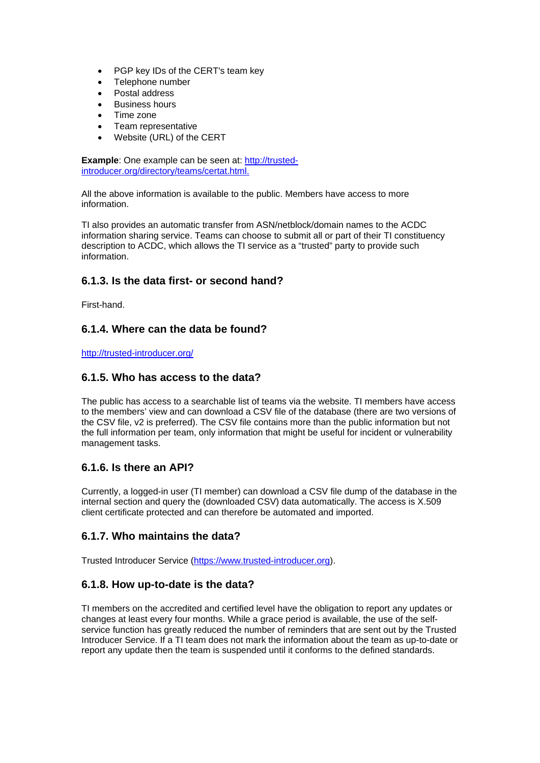- PGP key IDs of the CERT's team key
- Telephone number
- Postal address
- Business hours
- Time zone
- Team representative
- Website (URL) of the CERT

**Example**: One example can be seen at: [http://trusted](http://trusted-introducer.org/directory/teams/certat.html)[introducer.org/directory/teams/certat.html.](http://trusted-introducer.org/directory/teams/certat.html)

All the above information is available to the public. Members have access to more information.

TI also provides an automatic transfer from ASN/netblock/domain names to the ACDC information sharing service. Teams can choose to submit all or part of their TI constituency description to ACDC, which allows the TI service as a "trusted" party to provide such information.

#### **6.1.3. Is the data first- or second hand?**

First-hand.

#### **6.1.4. Where can the data be found?**

<http://trusted-introducer.org/>

#### **6.1.5. Who has access to the data?**

The public has access to a searchable list of teams via the website. TI members have access to the members' view and can download a CSV file of the database (there are two versions of the CSV file, v2 is preferred). The CSV file contains more than the public information but not the full information per team, only information that might be useful for incident or vulnerability management tasks.

#### **6.1.6. Is there an API?**

Currently, a logged-in user (TI member) can download a CSV file dump of the database in the internal section and query the (downloaded CSV) data automatically. The access is X.509 client certificate protected and can therefore be automated and imported.

#### **6.1.7. Who maintains the data?**

Trusted Introducer Service [\(https://www.trusted-introducer.org\)](https://www.trusted-introducer.org/).

#### **6.1.8. How up-to-date is the data?**

TI members on the accredited and certified level have the obligation to report any updates or changes at least every four months. While a grace period is available, the use of the selfservice function has greatly reduced the number of reminders that are sent out by the Trusted Introducer Service. If a TI team does not mark the information about the team as up-to-date or report any update then the team is suspended until it conforms to the defined standards.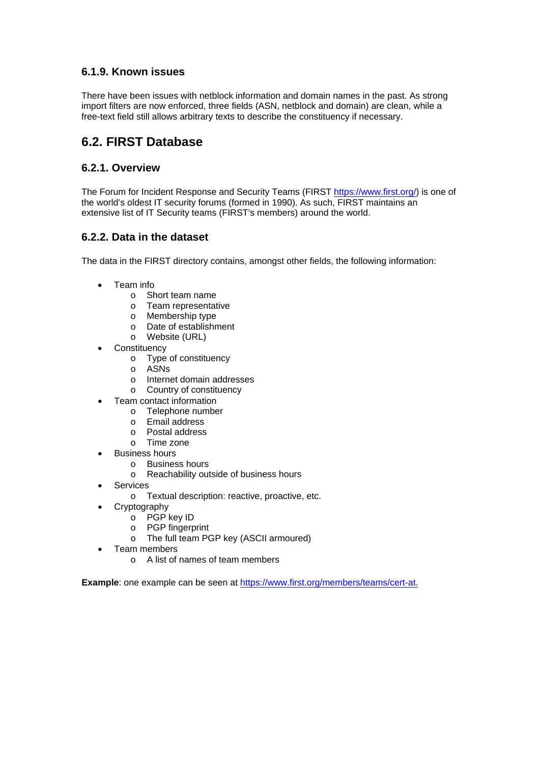#### **6.1.9. Known issues**

There have been issues with netblock information and domain names in the past. As strong import filters are now enforced, three fields (ASN, netblock and domain) are clean, while a free-text field still allows arbitrary texts to describe the constituency if necessary.

### <span id="page-6-0"></span>**6.2. FIRST Database**

#### **6.2.1. Overview**

The Forum for Incident Response and Security Teams (FIRST [https://www.first.org/\)](https://www.first.org/) is one of the world's oldest IT security forums (formed in 1990). As such, FIRST maintains an extensive list of IT Security teams (FIRST's members) around the world.

#### **6.2.2. Data in the dataset**

The data in the FIRST directory contains, amongst other fields, the following information:

- Team info
	- o Short team name
	- o Team representative
	- o Membership type
	- o Date of establishment
	- o Website (URL)
- **Constituency** 
	- o Type of constituency
	- o ASNs
	- o Internet domain addresses
	- o Country of constituency
- Team contact information
	- o Telephone number
	- o Email address
	- o Postal address
	- o Time zone
- Business hours
	- o Business hours
	- o Reachability outside of business hours
- **Services** 
	- o Textual description: reactive, proactive, etc.
- **Cryptography** 
	- o PGP key ID
	- o PGP fingerprint
	- o The full team PGP key (ASCII armoured)
- Team members
	- o A list of names of team members

**Example**: one example can be seen at [https://www.first.org/members/teams/cert-at.](https://www.first.org/members/teams/cert-at)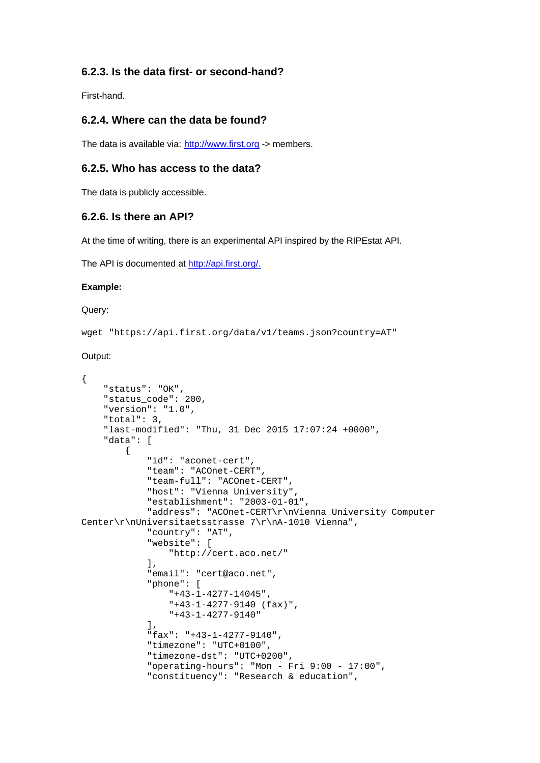#### **6.2.3. Is the data first- or second-hand?**

First-hand.

#### **6.2.4. Where can the data be found?**

The data is available via: [http://www.first.org](http://www.first.org/) -> members.

#### **6.2.5. Who has access to the data?**

The data is publicly accessible.

#### **6.2.6. Is there an API?**

At the time of writing, there is an experimental API inspired by the RIPEstat API.

The API is documented at [http://api.first.org/.](http://api.first.org/)

#### **Example:**

Query:

wget "https://api.first.org/data/v1/teams.json?country=AT"

Output:

```
{
     "status": "OK",
    "status code": 200,
     "version": "1.0",
     "total": 3,
     "last-modified": "Thu, 31 Dec 2015 17:07:24 +0000",
     "data": [
\left\{\begin{array}{c} \end{array}\right\} "id": "aconet-cert",
              "team": "ACOnet-CERT",
              "team-full": "ACOnet-CERT",
              "host": "Vienna University",
              "establishment": "2003-01-01",
              "address": "ACOnet-CERT\r\nVienna University Computer 
Center\r\nUniversitaetsstrasse 7\r\nA-1010 Vienna",
              "country": "AT",
              "website": [
                   "http://cert.aco.net/"
              ],
              "email": "cert@aco.net",
              "phone": [
                   "+43-1-4277-14045",
                   "+43-1-4277-9140 (fax)",
                   "+43-1-4277-9140"
              ],
              "fax": "+43-1-4277-9140",
              "timezone": "UTC+0100",
              "timezone-dst": "UTC+0200",
              "operating-hours": "Mon - Fri 9:00 - 17:00",
              "constituency": "Research & education",
```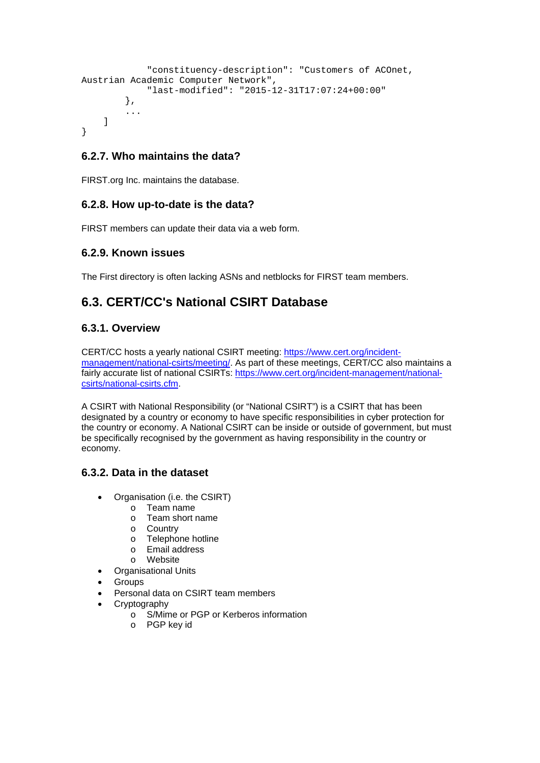```
 "constituency-description": "Customers of ACOnet, 
Austrian Academic Computer Network",
             "last-modified": "2015-12-31T17:07:24+00:00"
         },
         ...
     ]
}
```
#### **6.2.7. Who maintains the data?**

FIRST.org Inc. maintains the database.

#### **6.2.8. How up-to-date is the data?**

FIRST members can update their data via a web form.

#### **6.2.9. Known issues**

The First directory is often lacking ASNs and netblocks for FIRST team members.

### <span id="page-8-0"></span>**6.3. CERT/CC's National CSIRT Database**

#### **6.3.1. Overview**

CERT/CC hosts a yearly national CSIRT meeting: [https://www.cert.org/incident](https://www.cert.org/incident-management/national-csirts/meeting/)[management/national-csirts/meeting/.](https://www.cert.org/incident-management/national-csirts/meeting/) As part of these meetings, CERT/CC also maintains a fairly accurate list of national CSIRTs: [https://www.cert.org/incident-management/national](https://www.cert.org/incident-management/national-csirts/national-csirts.cfm)[csirts/national-csirts.cfm.](https://www.cert.org/incident-management/national-csirts/national-csirts.cfm)

A CSIRT with National Responsibility (or "National CSIRT") is a CSIRT that has been designated by a country or economy to have specific responsibilities in cyber protection for the country or economy. A National CSIRT can be inside or outside of government, but must be specifically recognised by the government as having responsibility in the country or economy.

#### **6.3.2. Data in the dataset**

- Organisation (i.e. the CSIRT)
	- o Team name
	- o Team short name
	- o Country
	- o Telephone hotline
	- o Email address
	- o Website
- Organisational Units
- Groups
- Personal data on CSIRT team members
- **Cryptography** 
	- o S/Mime or PGP or Kerberos information
	- o PGP key id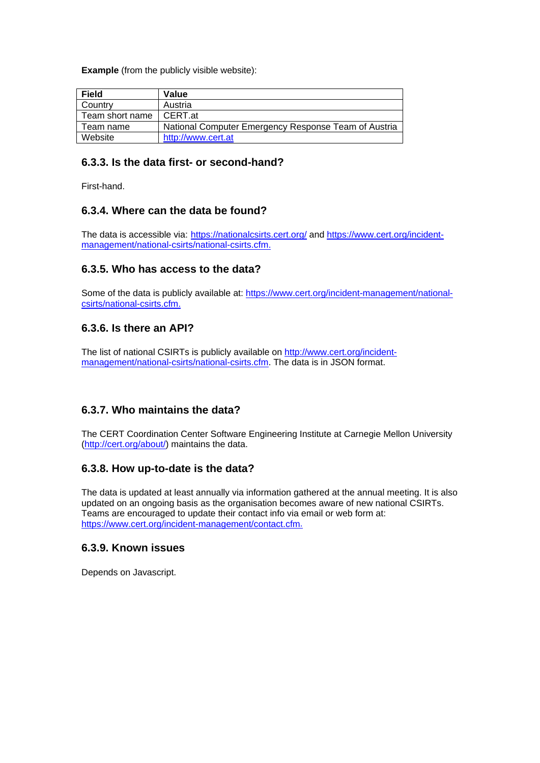**Example** (from the publicly visible website):

| <b>Field</b>    | Value                                                |
|-----------------|------------------------------------------------------|
| Country         | Austria                                              |
| Team short name | I CERT.at                                            |
| Team name       | National Computer Emergency Response Team of Austria |
| Website         | http://www.cert.at                                   |

#### **6.3.3. Is the data first- or second-hand?**

First-hand.

#### **6.3.4. Where can the data be found?**

The data is accessible via: <https://nationalcsirts.cert.org/> and [https://www.cert.org/incident](https://www.cert.org/incident-management/national-csirts/national-csirts.cfm)[management/national-csirts/national-csirts.cfm.](https://www.cert.org/incident-management/national-csirts/national-csirts.cfm)

#### **6.3.5. Who has access to the data?**

Some of the data is publicly available at: [https://www.cert.org/incident-management/national](https://www.cert.org/incident-management/national-csirts/national-csirts.cfm)[csirts/national-csirts.cfm.](https://www.cert.org/incident-management/national-csirts/national-csirts.cfm)

#### **6.3.6. Is there an API?**

The list of national CSIRTs is publicly available on [http://www.cert.org/incident](http://www.cert.org/incident-management/national-csirts/national-csirts.cfm)[management/national-csirts/national-csirts.cfm.](http://www.cert.org/incident-management/national-csirts/national-csirts.cfm) The data is in JSON format.

#### **6.3.7. Who maintains the data?**

The CERT Coordination Center Software Engineering Institute at Carnegie Mellon University [\(http://cert.org/about/\)](http://cert.org/about/) maintains the data.

#### **6.3.8. How up-to-date is the data?**

The data is updated at least annually via information gathered at the annual meeting. It is also updated on an ongoing basis as the organisation becomes aware of new national CSIRTs. Teams are encouraged to update their contact info via email or web form at: [https://www.cert.org/incident-management/contact.cfm.](https://www.cert.org/incident-management/contact.cfm)

#### **6.3.9. Known issues**

Depends on Javascript.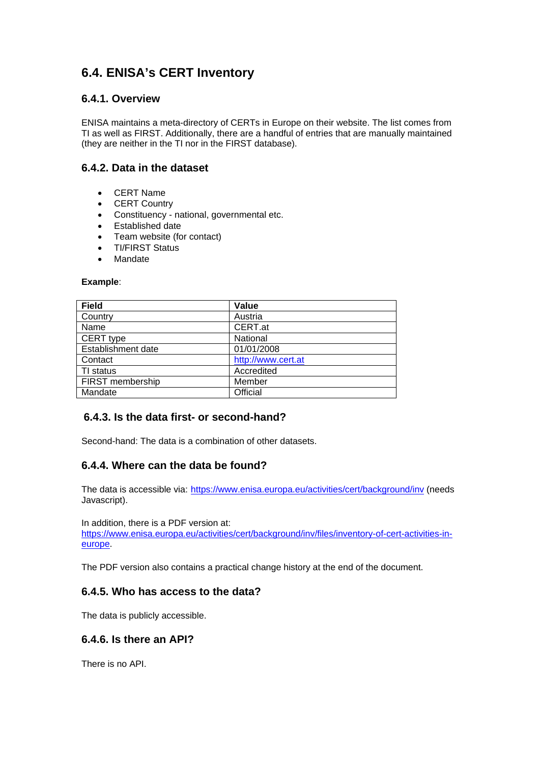### <span id="page-10-0"></span>**6.4. ENISA's CERT Inventory**

#### **6.4.1. Overview**

ENISA maintains a meta-directory of CERTs in Europe on their website. The list comes from TI as well as FIRST. Additionally, there are a handful of entries that are manually maintained (they are neither in the TI nor in the FIRST database).

#### **6.4.2. Data in the dataset**

- CERT Name
- CERT Country
- Constituency national, governmental etc.
- Established date
- Team website (for contact)
- TI/FIRST Status
- Mandate

#### **Example**:

| Value              |  |  |
|--------------------|--|--|
| Austria            |  |  |
| CERT.at            |  |  |
| National           |  |  |
| 01/01/2008         |  |  |
| http://www.cert.at |  |  |
| Accredited         |  |  |
| Member             |  |  |
| Official           |  |  |
|                    |  |  |

#### **6.4.3. Is the data first- or second-hand?**

Second-hand: The data is a combination of other datasets.

#### **6.4.4. Where can the data be found?**

The data is accessible via: <https://www.enisa.europa.eu/activities/cert/background/inv> (needs Javascript).

In addition, there is a PDF version at: [https://www.enisa.europa.eu/activities/cert/background/inv/files/inventory-of-cert-activities-in](https://www.enisa.europa.eu/activities/cert/background/inv/files/inventory-of-cert-activities-in-europe)[europe.](https://www.enisa.europa.eu/activities/cert/background/inv/files/inventory-of-cert-activities-in-europe)

The PDF version also contains a practical change history at the end of the document.

#### **6.4.5. Who has access to the data?**

The data is publicly accessible.

#### **6.4.6. Is there an API?**

There is no API.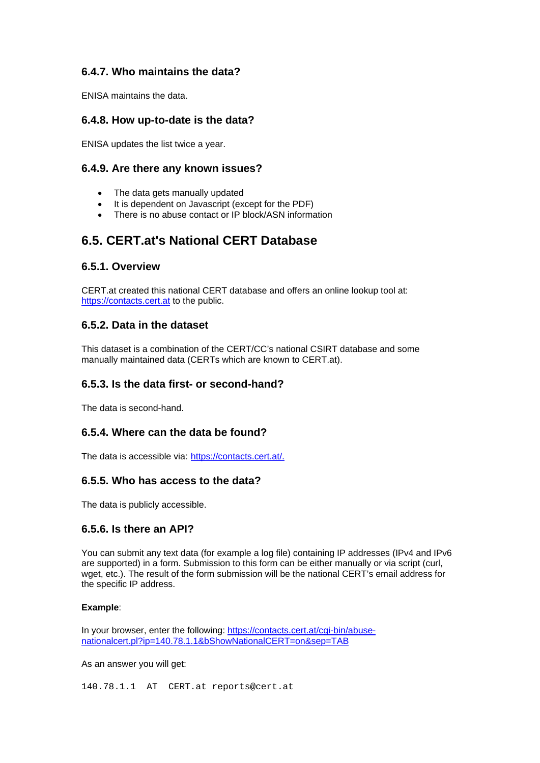#### **6.4.7. Who maintains the data?**

ENISA maintains the data.

#### **6.4.8. How up-to-date is the data?**

ENISA updates the list twice a year.

#### **6.4.9. Are there any known issues?**

- The data gets manually updated
- It is dependent on Javascript (except for the PDF)
- There is no abuse contact or IP block/ASN information

### <span id="page-11-0"></span>**6.5. CERT.at's National CERT Database**

#### **6.5.1. Overview**

CERT.at created this national CERT database and offers an online lookup tool at: [https://contacts.cert.at](https://contacts.cert.at/) to the public.

#### **6.5.2. Data in the dataset**

This dataset is a combination of the CERT/CC's national CSIRT database and some manually maintained data (CERTs which are known to CERT.at).

#### **6.5.3. Is the data first- or second-hand?**

The data is second-hand.

#### **6.5.4. Where can the data be found?**

The data is accessible via: [https://contacts.cert.at/.](https://contacts.cert.at/)

#### **6.5.5. Who has access to the data?**

The data is publicly accessible.

#### **6.5.6. Is there an API?**

You can submit any text data (for example a log file) containing IP addresses (IPv4 and IPv6 are supported) in a form. Submission to this form can be either manually or via script (curl, wget, etc.). The result of the form submission will be the national CERT's email address for the specific IP address.

#### **Example**:

In your browser, enter the following: [https://contacts.cert.at/cgi-bin/abuse](https://contacts.cert.at/cgi-bin/abuse-nationalcert.pl?ip=140.78.1.1&bShowNationalCERT=on&sep=TAB)[nationalcert.pl?ip=140.78.1.1&bShowNationalCERT=on&sep=TAB](https://contacts.cert.at/cgi-bin/abuse-nationalcert.pl?ip=140.78.1.1&bShowNationalCERT=on&sep=TAB)

As an answer you will get:

140.78.1.1 AT CERT.at reports@cert.at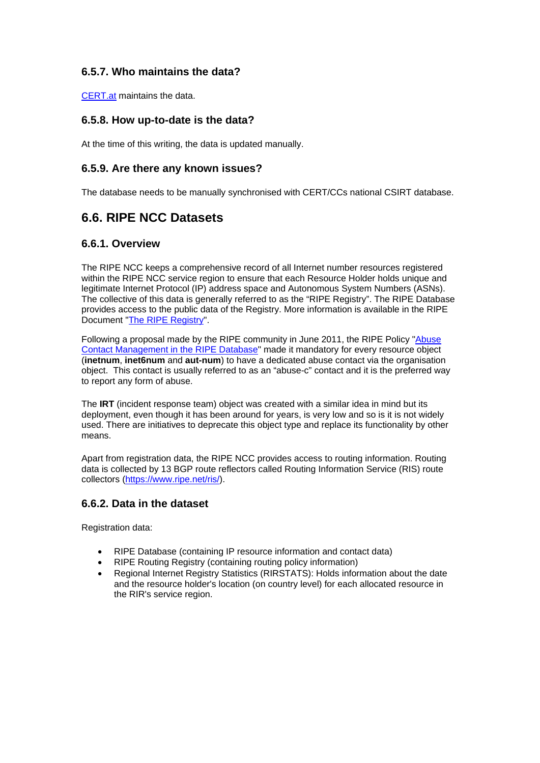#### **6.5.7. Who maintains the data?**

[CERT.at](http://cert.at/index_en.html) maintains the data.

#### **6.5.8. How up-to-date is the data?**

At the time of this writing, the data is updated manually.

#### **6.5.9. Are there any known issues?**

The database needs to be manually synchronised with CERT/CCs national CSIRT database.

### <span id="page-12-0"></span>**6.6. RIPE NCC Datasets**

#### **6.6.1. Overview**

The RIPE NCC keeps a comprehensive record of all Internet number resources registered within the RIPE NCC service region to ensure that each Resource Holder holds unique and legitimate Internet Protocol (IP) address space and Autonomous System Numbers (ASNs). The collective of this data is generally referred to as the "RIPE Registry". The RIPE Database provides access to the public data of the Registry. More information is available in the RIPE Document ["The RIPE Registry"](https://www.ripe.net/publications/docs/ripe-registry).

Following a proposal made by the RIPE community in June 2011, the RIPE Policy ["Abuse](https://www.ripe.net/publications/docs/abuse-contact-management)  [Contact Management in the RIPE Database"](https://www.ripe.net/publications/docs/abuse-contact-management) made it mandatory for every resource object (**inetnum**, **inet6num** and **aut-num**) to have a dedicated abuse contact via the organisation object. This contact is usually referred to as an "abuse-c" contact and it is the preferred way to report any form of abuse.

The **IRT** (incident response team) object was created with a similar idea in mind but its deployment, even though it has been around for years, is very low and so is it is not widely used. There are initiatives to deprecate this object type and replace its functionality by other means.

Apart from registration data, the RIPE NCC provides access to routing information. Routing data is collected by 13 BGP route reflectors called Routing Information Service (RIS) route collectors [\(https://www.ripe.net/ris/\)](https://www.ripe.net/ris/).

#### **6.6.2. Data in the dataset**

Registration data:

- RIPE Database (containing IP resource information and contact data)
- RIPE Routing Registry (containing routing policy information)
- Regional Internet Registry Statistics (RIRSTATS): Holds information about the date and the resource holder's location (on country level) for each allocated resource in the RIR's service region.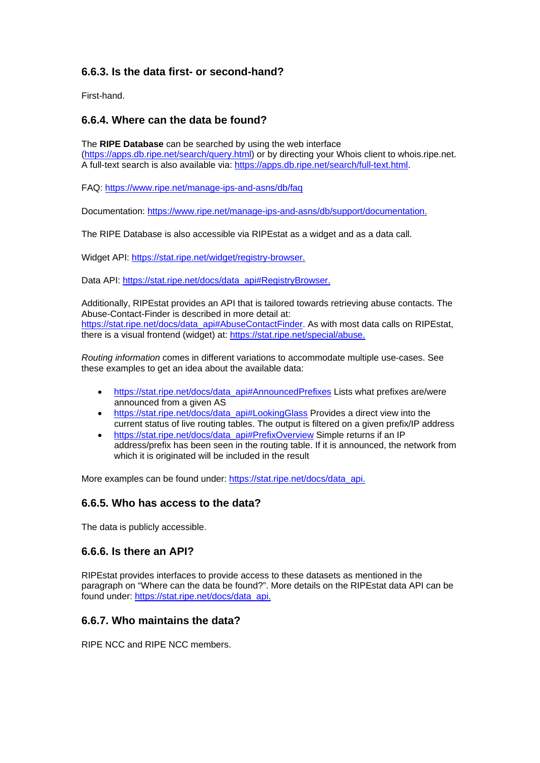#### **6.6.3. Is the data first- or second-hand?**

First-hand.

#### **6.6.4. Where can the data be found?**

The **RIPE Database** can be searched by using the web interface [\(https://apps.db.ripe.net/search/query.html\)](https://apps.db.ripe.net/search/query.html) or by directing your Whois client to whois.ripe.net. A full-text search is also available via: [https://apps.db.ripe.net/search/full-text.html.](https://apps.db.ripe.net/search/full-text.html)

FAQ:<https://www.ripe.net/manage-ips-and-asns/db/faq>

Documentation: [https://www.ripe.net/manage-ips-and-asns/db/support/documentation.](https://www.ripe.net/manage-ips-and-asns/db/support/documentation)

The RIPE Database is also accessible via RIPEstat as a widget and as a data call.

Widget API: [https://stat.ripe.net/widget/registry-browser.](https://stat.ripe.net/widget/registry-browser)

Data API: [https://stat.ripe.net/docs/data\\_api#RegistryBrowser.](https://stat.ripe.net/docs/data_api#RegistryBrowser)

Additionally, RIPEstat provides an API that is tailored towards retrieving abuse contacts. The Abuse-Contact-Finder is described in more detail at: [https://stat.ripe.net/docs/data\\_api#AbuseContactFinder.](https://stat.ripe.net/docs/data_api#AbuseContactFinder) As with most data calls on RIPEstat, there is a visual frontend (widget) at: [https://stat.ripe.net/special/abuse.](https://stat.ripe.net/special/abuse)

*Routing information* comes in different variations to accommodate multiple use-cases. See these examples to get an idea about the available data:

- [https://stat.ripe.net/docs/data\\_api#AnnouncedPrefixes](https://stat.ripe.net/docs/data_api#AnnouncedPrefixes) Lists what prefixes are/were announced from a given AS
- [https://stat.ripe.net/docs/data\\_api#LookingGlass](https://stat.ripe.net/docs/data_api#LookingGlass) Provides a direct view into the current status of live routing tables. The output is filtered on a given prefix/IP address
- [https://stat.ripe.net/docs/data\\_api#PrefixOverview](https://stat.ripe.net/docs/data_api#PrefixOverview) Simple returns if an IP address/prefix has been seen in the routing table. If it is announced, the network from which it is originated will be included in the result

More examples can be found under: [https://stat.ripe.net/docs/data\\_api.](https://stat.ripe.net/docs/data_api)

#### **6.6.5. Who has access to the data?**

The data is publicly accessible.

#### **6.6.6. Is there an API?**

RIPEstat provides interfaces to provide access to these datasets as mentioned in the paragraph on "Where can the data be found?". More details on the RIPEstat data API can be found under: [https://stat.ripe.net/docs/data\\_api.](https://stat.ripe.net/docs/data_api)

#### **6.6.7. Who maintains the data?**

RIPE NCC and RIPE NCC members.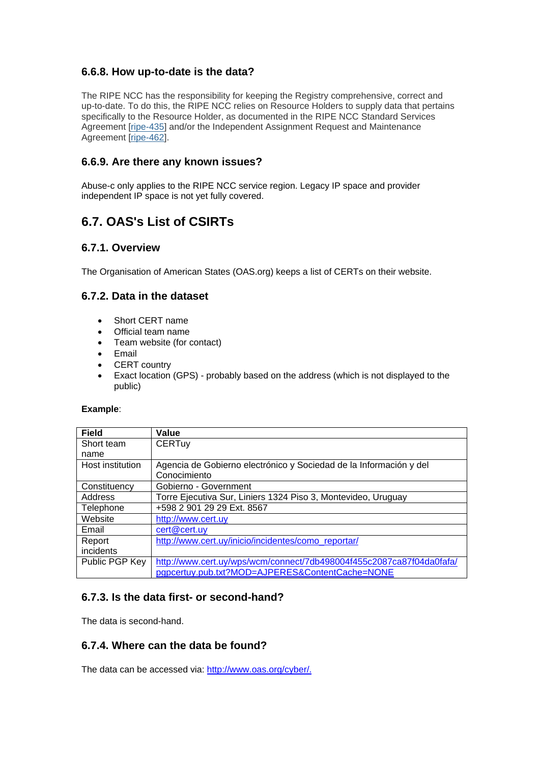#### **6.6.8. How up-to-date is the data?**

The RIPE NCC has the responsibility for keeping the Registry comprehensive, correct and up-to-date. To do this, the RIPE NCC relies on Resource Holders to supply data that pertains specifically to the Resource Holder, as documented in the RIPE NCC Standard Services Agreement [\[ripe-435\]](https://www.ripe.net/publications/docs/ripe-435) and/or the Independent Assignment Request and Maintenance Agreement [\[ripe-462\]](https://www.ripe.net/publications/docs/ripe-462).

#### **6.6.9. Are there any known issues?**

Abuse-c only applies to the RIPE NCC service region. Legacy IP space and provider independent IP space is not yet fully covered.

### <span id="page-14-0"></span>**6.7. OAS's List of CSIRTs**

#### **6.7.1. Overview**

The Organisation of American States (OAS.org) keeps a list of CERTs on their website.

#### **6.7.2. Data in the dataset**

- Short CERT name
- Official team name
- Team website (for contact)
- Email
- CERT country
- Exact location (GPS) probably based on the address (which is not displayed to the public)

#### **Example**:

| <b>Field</b>     | Value                                                                |  |  |  |
|------------------|----------------------------------------------------------------------|--|--|--|
| Short team       | <b>CERTuy</b>                                                        |  |  |  |
| name             |                                                                      |  |  |  |
| Host institution | Agencia de Gobierno electrónico y Sociedad de la Información y del   |  |  |  |
|                  | Conocimiento                                                         |  |  |  |
| Constituency     | Gobierno - Government                                                |  |  |  |
| Address          | Torre Ejecutiva Sur, Liniers 1324 Piso 3, Montevideo, Uruguay        |  |  |  |
| Telephone        | +598 2 901 29 29 Ext. 8567                                           |  |  |  |
| Website          | http://www.cert.uy                                                   |  |  |  |
| Email            | cert@cert.uy                                                         |  |  |  |
| Report           | http://www.cert.uy/inicio/incidentes/como_reportar/                  |  |  |  |
| incidents        |                                                                      |  |  |  |
| Public PGP Key   | http://www.cert.uy/wps/wcm/connect/7db498004f455c2087ca87f04da0fafa/ |  |  |  |
|                  | pgpcertuy.pub.txt?MOD=AJPERES&ContentCache=NONE                      |  |  |  |

#### **6.7.3. Is the data first- or second-hand?**

The data is second-hand.

#### **6.7.4. Where can the data be found?**

The data can be accessed via: [http://www.oas.org/cyber/.](http://www.oas.org/cyber/)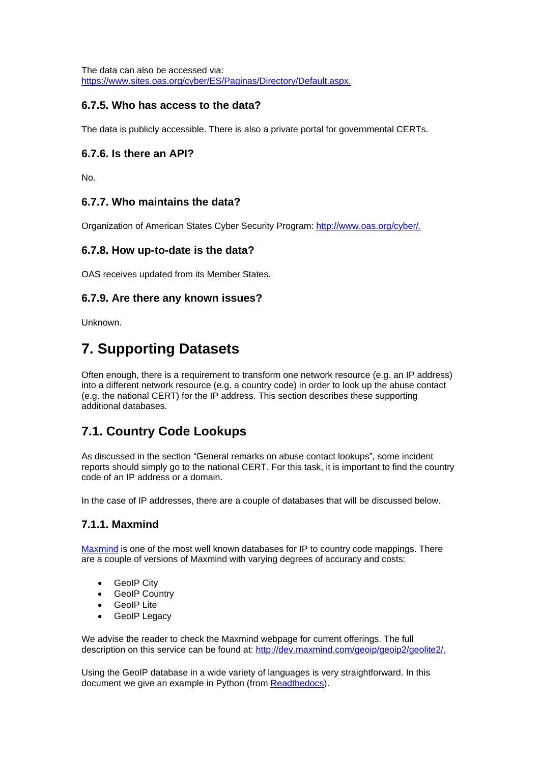The data can also be accessed via: [https://www.sites.oas.org/cyber/ES/Paginas/Directory/Default.aspx.](https://www.sites.oas.org/cyber/ES/Paginas/Directory/Default.aspx)

#### **6.7.5. Who has access to the data?**

The data is publicly accessible. There is also a private portal for governmental CERTs.

#### **6.7.6. Is there an API?**

No.

#### **6.7.7. Who maintains the data?**

Organization of American States Cyber Security Program: [http://www.oas.org/cyber/.](http://www.oas.org/cyber/)

#### **6.7.8. How up-to-date is the data?**

OAS receives updated from its Member States.

#### **6.7.9. Are there any known issues?**

Unknown.

## <span id="page-15-0"></span>**7. Supporting Datasets**

Often enough, there is a requirement to transform one network resource (e.g. an IP address) into a different network resource (e.g. a country code) in order to look up the abuse contact (e.g. the national CERT) for the IP address. This section describes these supporting additional databases.

### <span id="page-15-1"></span>**7.1. Country Code Lookups**

As discussed in the section "General remarks on abuse contact lookups", some incident reports should simply go to the national CERT. For this task, it is important to find the country code of an IP address or a domain.

In the case of IP addresses, there are a couple of databases that will be discussed below.

#### <span id="page-15-2"></span>**7.1.1. Maxmind**

[Maxmind](https://www.maxmind.com/) is one of the most well known databases for IP to country code mappings. There are a couple of versions of Maxmind with varying degrees of accuracy and costs:

- GeoIP City
- GeoIP Country
- GeoIP Lite
- GeoIP Legacy

We advise the reader to check the Maxmind webpage for current offerings. The full description on this service can be found at: [http://dev.maxmind.com/geoip/geoip2/geolite2/.](http://dev.maxmind.com/geoip/geoip2/geolite2/)

Using the GeoIP database in a wide variety of languages is very straightforward. In this document we give an example in Python (from [Readthedocs\)](http://geoip2.readthedocs.org/en/latest/).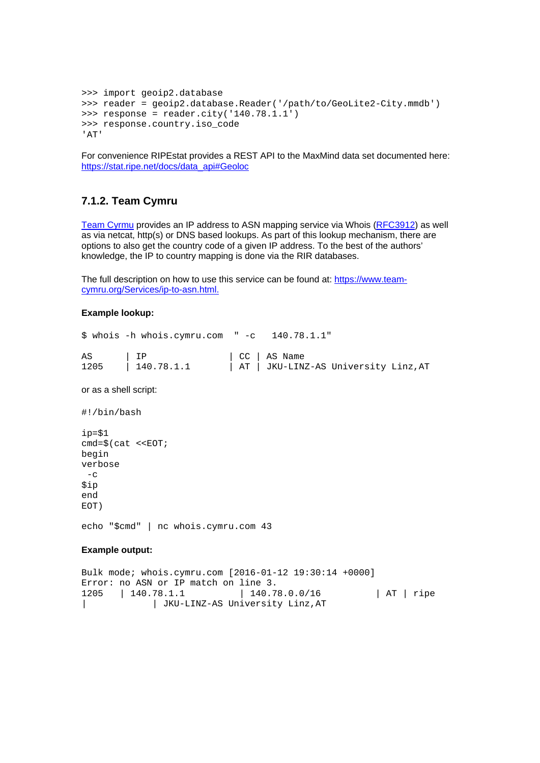```
>>> import geoip2.database
>>> reader = geoip2.database.Reader('/path/to/GeoLite2-City.mmdb')
>>> response = reader.city('140.78.1.1')
>>> response.country.iso_code
'AT'
```
For convenience RIPEstat provides a REST API to the MaxMind data set documented here: [https://stat.ripe.net/docs/data\\_api#Geoloc](https://stat.ripe.net/docs/data_api#Geoloc)

#### <span id="page-16-0"></span>**7.1.2. Team Cymru**

[Team Cyrmu](https://www.team-cymru.org/Services/ip-to-asn.html) provides an IP address to ASN mapping service via Whois [\(RFC3912\)](https://tools.ietf.org/html/rfc3912) as well as via netcat, http(s) or DNS based lookups. As part of this lookup mechanism, there are options to also get the country code of a given IP address. To the best of the authors' knowledge, the IP to country mapping is done via the RIR databases.

The full description on how to use this service can be found at: [https://www.team](https://www.team-cymru.org/Services/ip-to-asn.html)[cymru.org/Services/ip-to-asn.html.](https://www.team-cymru.org/Services/ip-to-asn.html)

#### **Example lookup:**

\$ whois -h whois.cymru.com " -c 140.78.1.1" AS | IP | CC | AS Name<br>1205 | 140.78.1.1 | AT | JKU-LIN: | AT | JKU-LINZ-AS University Linz, AT

or as a shell script:

#!/bin/bash

ip=\$1  $cmd=\$(cat <$ begin verbose  $-c$ \$ip end EOT)

echo "\$cmd" | nc whois.cymru.com 43

#### **Example output:**

<span id="page-16-1"></span>Bulk mode; whois.cymru.com [2016-01-12 19:30:14 +0000] Error: no ASN or IP match on line 3. 1205 | 140.78.1.1 | 140.78.0.0/16 | AT | ripe | | JKU-LINZ-AS University Linz,AT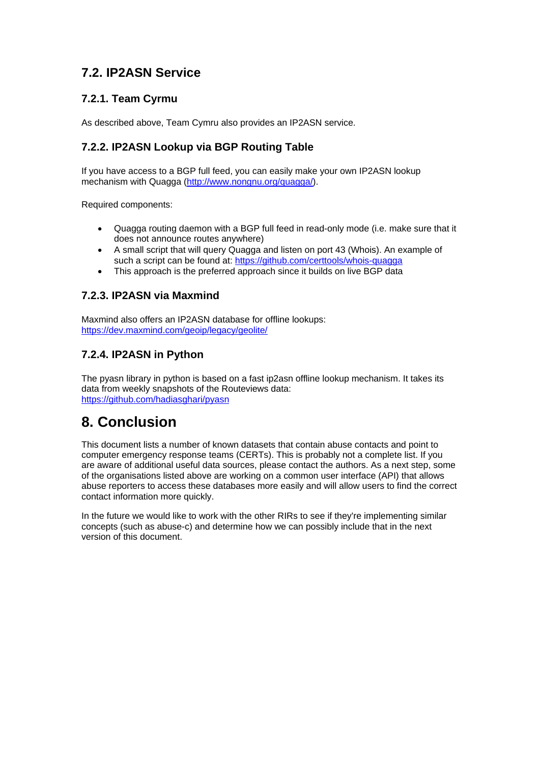### **7.2. IP2ASN Service**

#### <span id="page-17-0"></span>**7.2.1. Team Cyrmu**

As described above, Team Cymru also provides an IP2ASN service.

#### <span id="page-17-1"></span>**7.2.2. IP2ASN Lookup via BGP Routing Table**

If you have access to a BGP full feed, you can easily make your own IP2ASN lookup mechanism with Quagga [\(http://www.nongnu.org/quagga/\)](http://www.nongnu.org/quagga/).

Required components:

- Quagga routing daemon with a BGP full feed in read-only mode (i.e. make sure that it does not announce routes anywhere)
- A small script that will query Quagga and listen on port 43 (Whois). An example of such a script can be found at: <https://github.com/certtools/whois-quagga>
- This approach is the preferred approach since it builds on live BGP data

#### <span id="page-17-2"></span>**7.2.3. IP2ASN via Maxmind**

Maxmind also offers an IP2ASN database for offline lookups: <https://dev.maxmind.com/geoip/legacy/geolite/>

#### <span id="page-17-3"></span>**7.2.4. IP2ASN in Python**

The pyasn library in python is based on a fast ip2asn offline lookup mechanism. It takes its data from weekly snapshots of the Routeviews data: <https://github.com/hadiasghari/pyasn>

## <span id="page-17-4"></span>**8. Conclusion**

This document lists a number of known datasets that contain abuse contacts and point to computer emergency response teams (CERTs). This is probably not a complete list. If you are aware of additional useful data sources, please contact the authors. As a next step, some of the organisations listed above are working on a common user interface (API) that allows abuse reporters to access these databases more easily and will allow users to find the correct contact information more quickly.

In the future we would like to work with the other RIRs to see if they're implementing similar concepts (such as abuse-c) and determine how we can possibly include that in the next version of this document.